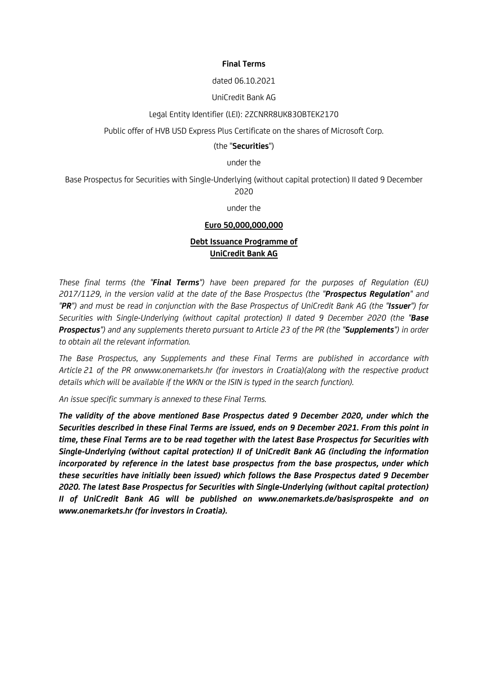#### **Final Terms**

#### dated 06.10.2021

#### UniCredit Bank AG

#### Legal Entity Identifier (LEI): 2ZCNRR8UK83OBTEK2170

Public offer of HVB USD Express Plus Certificate on the shares of Microsoft Corp.

#### (the "**Securities**")

under the

Base Prospectus for Securities with Single-Underlying (without capital protection) II dated 9 December 2020

under the

#### **Euro 50,000,000,000**

# **Debt Issuance Programme of UniCredit Bank AG**

*These final terms (the "Final Terms") have been prepared for the purposes of Regulation (EU) 2017/1129, in the version valid at the date of the Base Prospectus (the "Prospectus Regulation" and "PR") and must be read in conjunction with the Base Prospectus of UniCredit Bank AG (the "Issuer") for Securities with Single-Underlying (without capital protection) II dated 9 December 2020 (the "Base Prospectus") and any supplements thereto pursuant to Article 23 of the PR (the "Supplements") in order to obtain all the relevant information.*

*The Base Prospectus, any Supplements and these Final Terms are published in accordance with Article 21 of the PR onwww.onemarkets.hr (for investors in Croatia)(along with the respective product details which will be available if the WKN or the ISIN is typed in the search function).*

*An issue specific summary is annexed to these Final Terms.*

*The validity of the above mentioned Base Prospectus dated 9 December 2020, under which the Securities described in these Final Terms are issued, ends on 9 December 2021. From this point in time, these Final Terms are to be read together with the latest Base Prospectus for Securities with Single-Underlying (without capital protection) II of UniCredit Bank AG (including the information incorporated by reference in the latest base prospectus from the base prospectus, under which these securities have initially been issued) which follows the Base Prospectus dated 9 December 2020. The latest Base Prospectus for Securities with Single-Underlying (without capital protection) II of UniCredit Bank AG will be published on www.onemarkets.de/basisprospekte and on www.onemarkets.hr (for investors in Croatia).*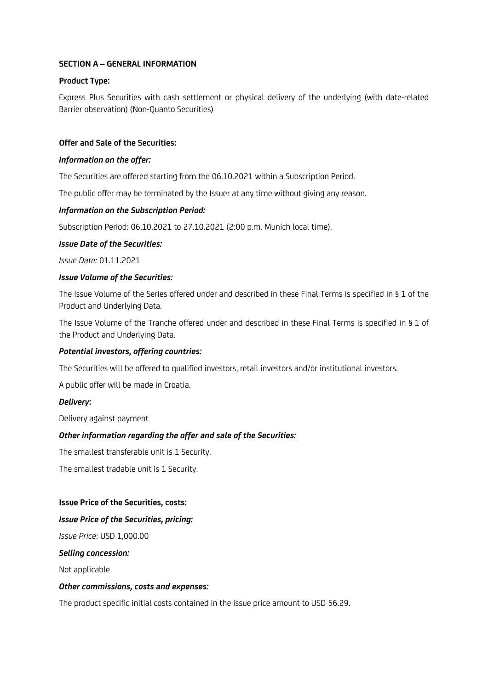# **SECTION A – GENERAL INFORMATION**

### **Product Type:**

Express Plus Securities with cash settlement or physical delivery of the underlying (with date-related Barrier observation) (Non-Quanto Securities)

### **Offer and Sale of the Securities:**

#### *Information on the offer:*

The Securities are offered starting from the 06.10.2021 within a Subscription Period.

The public offer may be terminated by the Issuer at any time without giving any reason.

### *Information on the Subscription Period:*

Subscription Period: 06.10.2021 to 27.10.2021 (2:00 p.m. Munich local time).

#### *Issue Date of the Securities:*

*Issue Date:* 01.11.2021

### *Issue Volume of the Securities:*

The Issue Volume of the Series offered under and described in these Final Terms is specified in § 1 of the Product and Underlying Data.

The Issue Volume of the Tranche offered under and described in these Final Terms is specified in § 1 of the Product and Underlying Data.

### *Potential investors, offering countries:*

The Securities will be offered to qualified investors, retail investors and/or institutional investors.

A public offer will be made in Croatia.

#### *Delivery***:**

Delivery against payment

### *Other information regarding the offer and sale of the Securities:*

The smallest transferable unit is 1 Security.

The smallest tradable unit is 1 Security.

#### **Issue Price of the Securities, costs:**

#### *Issue Price of the Securities, pricing:*

*Issue Price*: USD 1,000.00

#### *Selling concession:*

Not applicable

#### *Other commissions, costs and expenses:*

The product specific initial costs contained in the issue price amount to USD 56.29.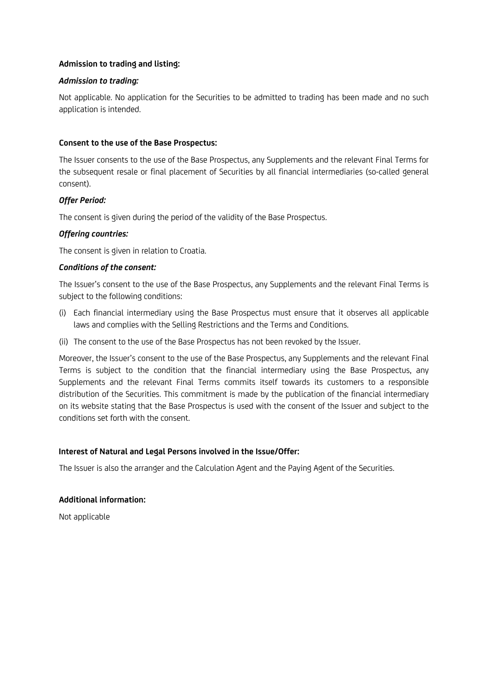# **Admission to trading and listing:**

### *Admission to trading:*

Not applicable. No application for the Securities to be admitted to trading has been made and no such application is intended.

### **Consent to the use of the Base Prospectus:**

The Issuer consents to the use of the Base Prospectus, any Supplements and the relevant Final Terms for the subsequent resale or final placement of Securities by all financial intermediaries (so-called general consent).

### *Offer Period:*

The consent is given during the period of the validity of the Base Prospectus.

#### *Offering countries:*

The consent is given in relation to Croatia.

### *Conditions of the consent:*

The Issuer's consent to the use of the Base Prospectus, any Supplements and the relevant Final Terms is subject to the following conditions:

- (i) Each financial intermediary using the Base Prospectus must ensure that it observes all applicable laws and complies with the Selling Restrictions and the Terms and Conditions.
- (ii) The consent to the use of the Base Prospectus has not been revoked by the Issuer.

Moreover, the Issuer's consent to the use of the Base Prospectus, any Supplements and the relevant Final Terms is subject to the condition that the financial intermediary using the Base Prospectus, any Supplements and the relevant Final Terms commits itself towards its customers to a responsible distribution of the Securities. This commitment is made by the publication of the financial intermediary on its website stating that the Base Prospectus is used with the consent of the Issuer and subject to the conditions set forth with the consent.

### **Interest of Natural and Legal Persons involved in the Issue/Offer:**

The Issuer is also the arranger and the Calculation Agent and the Paying Agent of the Securities.

### **Additional information:**

Not applicable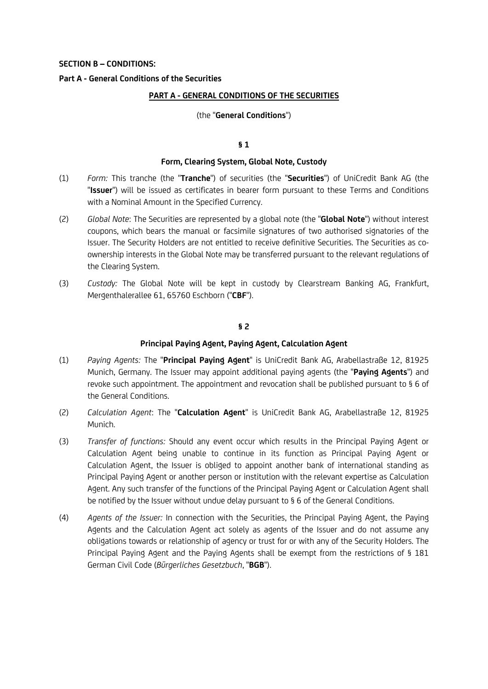### **SECTION B – CONDITIONS:**

### **Part A - General Conditions of the Securities**

#### **PART A - GENERAL CONDITIONS OF THE SECURITIES**

#### (the "**General Conditions**")

#### **§ 1**

#### **Form, Clearing System, Global Note, Custody**

- (1) *Form:* This tranche (the "**Tranche**") of securities (the "**Securities**") of UniCredit Bank AG (the "**Issuer**") will be issued as certificates in bearer form pursuant to these Terms and Conditions with a Nominal Amount in the Specified Currency.
- (2) *Global Note*: The Securities are represented by a global note (the "**Global Note**") without interest coupons, which bears the manual or facsimile signatures of two authorised signatories of the Issuer. The Security Holders are not entitled to receive definitive Securities. The Securities as coownership interests in the Global Note may be transferred pursuant to the relevant regulations of the Clearing System.
- (3) *Custody:* The Global Note will be kept in custody by Clearstream Banking AG, Frankfurt, Mergenthalerallee 61, 65760 Eschborn ("**CBF**").

### **§ 2**

#### **Principal Paying Agent, Paying Agent, Calculation Agent**

- (1) *Paying Agents:* The "**Principal Paying Agent**" is UniCredit Bank AG, Arabellastraße 12, 81925 Munich, Germany. The Issuer may appoint additional paying agents (the "**Paying Agents**") and revoke such appointment. The appointment and revocation shall be published pursuant to § 6 of the General Conditions.
- (2) *Calculation Agent*: The "**Calculation Agent**" is UniCredit Bank AG, Arabellastraße 12, 81925 Munich.
- (3) *Transfer of functions:* Should any event occur which results in the Principal Paying Agent or Calculation Agent being unable to continue in its function as Principal Paying Agent or Calculation Agent, the Issuer is obliged to appoint another bank of international standing as Principal Paying Agent or another person or institution with the relevant expertise as Calculation Agent. Any such transfer of the functions of the Principal Paying Agent or Calculation Agent shall be notified by the Issuer without undue delay pursuant to § 6 of the General Conditions.
- (4) *Agents of the Issuer:* In connection with the Securities, the Principal Paying Agent, the Paying Agents and the Calculation Agent act solely as agents of the Issuer and do not assume any obligations towards or relationship of agency or trust for or with any of the Security Holders. The Principal Paying Agent and the Paying Agents shall be exempt from the restrictions of § 181 German Civil Code (*Bürgerliches Gesetzbuch*, "**BGB**").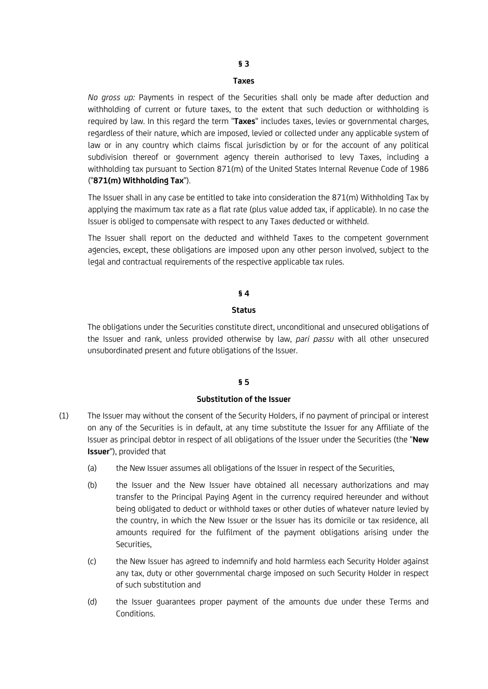# **§ 3**

#### **Taxes**

*No gross up:* Payments in respect of the Securities shall only be made after deduction and withholding of current or future taxes, to the extent that such deduction or withholding is required by law. In this regard the term "**Taxes**" includes taxes, levies or governmental charges, regardless of their nature, which are imposed, levied or collected under any applicable system of law or in any country which claims fiscal jurisdiction by or for the account of any political subdivision thereof or government agency therein authorised to levy Taxes, including a withholding tax pursuant to Section 871(m) of the United States Internal Revenue Code of 1986 ("**871(m) Withholding Tax**").

The Issuer shall in any case be entitled to take into consideration the 871(m) Withholding Tax by applying the maximum tax rate as a flat rate (plus value added tax, if applicable). In no case the Issuer is obliged to compensate with respect to any Taxes deducted or withheld.

The Issuer shall report on the deducted and withheld Taxes to the competent government agencies, except, these obligations are imposed upon any other person involved, subject to the legal and contractual requirements of the respective applicable tax rules.

#### **§ 4**

#### **Status**

The obligations under the Securities constitute direct, unconditional and unsecured obligations of the Issuer and rank, unless provided otherwise by law, *pari passu* with all other unsecured unsubordinated present and future obligations of the Issuer.

#### **§ 5**

#### **Substitution of the Issuer**

- (1) The Issuer may without the consent of the Security Holders, if no payment of principal or interest on any of the Securities is in default, at any time substitute the Issuer for any Affiliate of the Issuer as principal debtor in respect of all obligations of the Issuer under the Securities (the "**New Issuer**"), provided that
	- (a) the New Issuer assumes all obligations of the Issuer in respect of the Securities,
	- (b) the Issuer and the New Issuer have obtained all necessary authorizations and may transfer to the Principal Paying Agent in the currency required hereunder and without being obligated to deduct or withhold taxes or other duties of whatever nature levied by the country, in which the New Issuer or the Issuer has its domicile or tax residence, all amounts required for the fulfilment of the payment obligations arising under the Securities,
	- (c) the New Issuer has agreed to indemnify and hold harmless each Security Holder against any tax, duty or other governmental charge imposed on such Security Holder in respect of such substitution and
	- (d) the Issuer guarantees proper payment of the amounts due under these Terms and Conditions.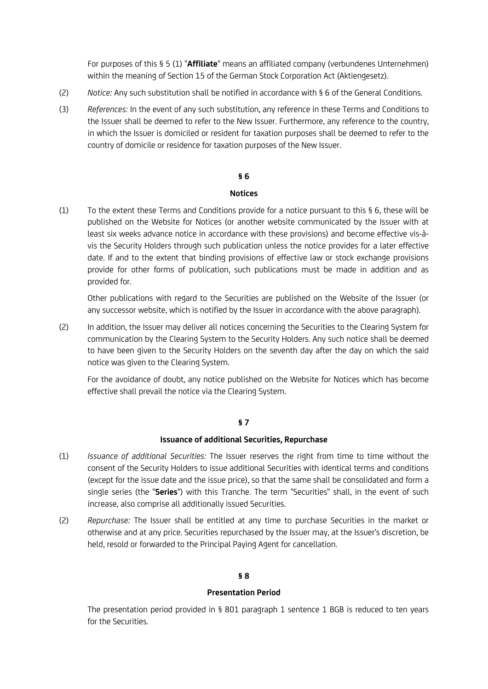For purposes of this § 5 (1) "**Affiliate**" means an affiliated company (verbundenes Unternehmen) within the meaning of Section 15 of the German Stock Corporation Act (Aktiengesetz).

- (2) *Notice:* Any such substitution shall be notified in accordance with § 6 of the General Conditions.
- (3) *References:* In the event of any such substitution, any reference in these Terms and Conditions to the Issuer shall be deemed to refer to the New Issuer. Furthermore, any reference to the country, in which the Issuer is domiciled or resident for taxation purposes shall be deemed to refer to the country of domicile or residence for taxation purposes of the New Issuer.

#### **§ 6**

#### **Notices**

(1) To the extent these Terms and Conditions provide for a notice pursuant to this § 6, these will be published on the Website for Notices (or another website communicated by the Issuer with at least six weeks advance notice in accordance with these provisions) and become effective vis-àvis the Security Holders through such publication unless the notice provides for a later effective date. If and to the extent that binding provisions of effective law or stock exchange provisions provide for other forms of publication, such publications must be made in addition and as provided for.

Other publications with regard to the Securities are published on the Website of the Issuer (or any successor website, which is notified by the Issuer in accordance with the above paragraph).

(2) In addition, the Issuer may deliver all notices concerning the Securities to the Clearing System for communication by the Clearing System to the Security Holders. Any such notice shall be deemed to have been given to the Security Holders on the seventh day after the day on which the said notice was given to the Clearing System.

For the avoidance of doubt, any notice published on the Website for Notices which has become effective shall prevail the notice via the Clearing System.

### **§ 7**

#### **Issuance of additional Securities, Repurchase**

- (1) *Issuance of additional Securities:* The Issuer reserves the right from time to time without the consent of the Security Holders to issue additional Securities with identical terms and conditions (except for the issue date and the issue price), so that the same shall be consolidated and form a single series (the "**Series**") with this Tranche. The term "Securities" shall, in the event of such increase, also comprise all additionally issued Securities.
- (2) *Repurchase:* The Issuer shall be entitled at any time to purchase Securities in the market or otherwise and at any price. Securities repurchased by the Issuer may, at the Issuer's discretion, be held, resold or forwarded to the Principal Paying Agent for cancellation.

### **§ 8**

#### **Presentation Period**

The presentation period provided in § 801 paragraph 1 sentence 1 BGB is reduced to ten years for the Securities.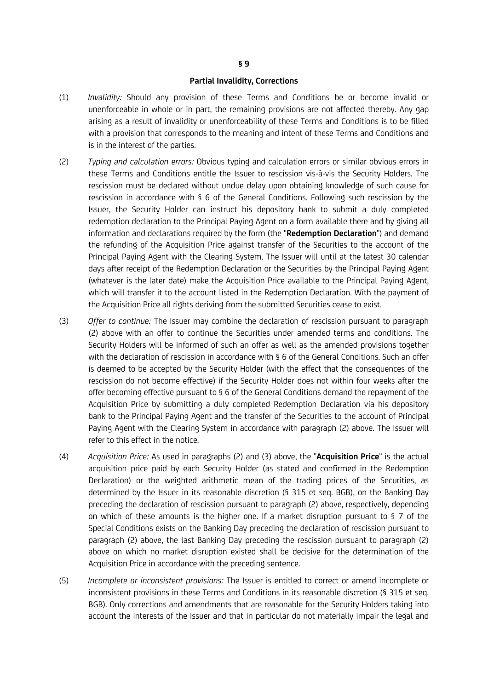#### **Partial Invalidity, Corrections**

- (1) *Invalidity:* Should any provision of these Terms and Conditions be or become invalid or unenforceable in whole or in part, the remaining provisions are not affected thereby. Any gap arising as a result of invalidity or unenforceability of these Terms and Conditions is to be filled with a provision that corresponds to the meaning and intent of these Terms and Conditions and is in the interest of the parties.
- (2) *Typing and calculation errors:* Obvious typing and calculation errors or similar obvious errors in these Terms and Conditions entitle the Issuer to rescission vis-à-vis the Security Holders. The rescission must be declared without undue delay upon obtaining knowledge of such cause for rescission in accordance with § 6 of the General Conditions. Following such rescission by the Issuer, the Security Holder can instruct his depository bank to submit a duly completed redemption declaration to the Principal Paying Agent on a form available there and by giving all information and declarations required by the form (the "**Redemption Declaration**") and demand the refunding of the Acquisition Price against transfer of the Securities to the account of the Principal Paying Agent with the Clearing System. The Issuer will until at the latest 30 calendar days after receipt of the Redemption Declaration or the Securities by the Principal Paying Agent (whatever is the later date) make the Acquisition Price available to the Principal Paying Agent, which will transfer it to the account listed in the Redemption Declaration. With the payment of the Acquisition Price all rights deriving from the submitted Securities cease to exist.
- (3) *Offer to continue:* The Issuer may combine the declaration of rescission pursuant to paragraph (2) above with an offer to continue the Securities under amended terms and conditions. The Security Holders will be informed of such an offer as well as the amended provisions together with the declaration of rescission in accordance with § 6 of the General Conditions. Such an offer is deemed to be accepted by the Security Holder (with the effect that the consequences of the rescission do not become effective) if the Security Holder does not within four weeks after the offer becoming effective pursuant to § 6 of the General Conditions demand the repayment of the Acquisition Price by submitting a duly completed Redemption Declaration via his depository bank to the Principal Paying Agent and the transfer of the Securities to the account of Principal Paying Agent with the Clearing System in accordance with paragraph (2) above. The Issuer will refer to this effect in the notice.
- (4) *Acquisition Price:* As used in paragraphs (2) and (3) above, the "**Acquisition Price**" is the actual acquisition price paid by each Security Holder (as stated and confirmed in the Redemption Declaration) or the weighted arithmetic mean of the trading prices of the Securities, as determined by the Issuer in its reasonable discretion (§ 315 et seq. BGB), on the Banking Day preceding the declaration of rescission pursuant to paragraph (2) above, respectively, depending on which of these amounts is the higher one. If a market disruption pursuant to § 7 of the Special Conditions exists on the Banking Day preceding the declaration of rescission pursuant to paragraph (2) above, the last Banking Day preceding the rescission pursuant to paragraph (2) above on which no market disruption existed shall be decisive for the determination of the Acquisition Price in accordance with the preceding sentence.
- (5) *Incomplete or inconsistent provisions:* The Issuer is entitled to correct or amend incomplete or inconsistent provisions in these Terms and Conditions in its reasonable discretion (§ 315 et seq. BGB). Only corrections and amendments that are reasonable for the Security Holders taking into account the interests of the Issuer and that in particular do not materially impair the legal and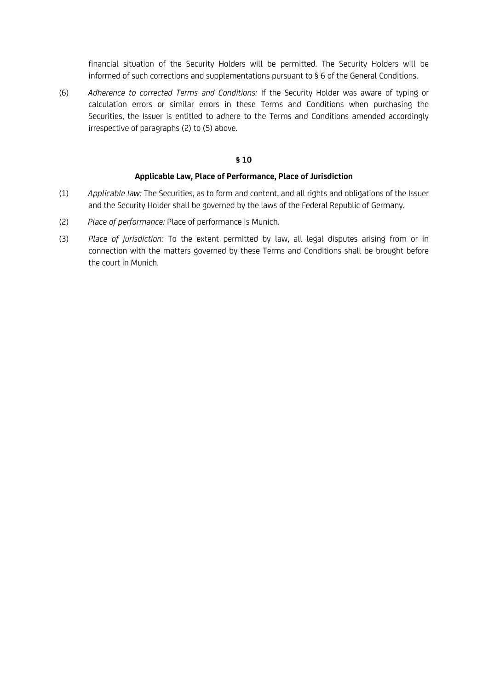financial situation of the Security Holders will be permitted. The Security Holders will be informed of such corrections and supplementations pursuant to § 6 of the General Conditions.

(6) *Adherence to corrected Terms and Conditions:* If the Security Holder was aware of typing or calculation errors or similar errors in these Terms and Conditions when purchasing the Securities, the Issuer is entitled to adhere to the Terms and Conditions amended accordingly irrespective of paragraphs (2) to (5) above.

### **§ 10**

#### **Applicable Law, Place of Performance, Place of Jurisdiction**

- (1) *Applicable law:* The Securities, as to form and content, and all rights and obligations of the Issuer and the Security Holder shall be governed by the laws of the Federal Republic of Germany.
- (2) *Place of performance:* Place of performance is Munich.
- (3) *Place of jurisdiction:* To the extent permitted by law, all legal disputes arising from or in connection with the matters governed by these Terms and Conditions shall be brought before the court in Munich.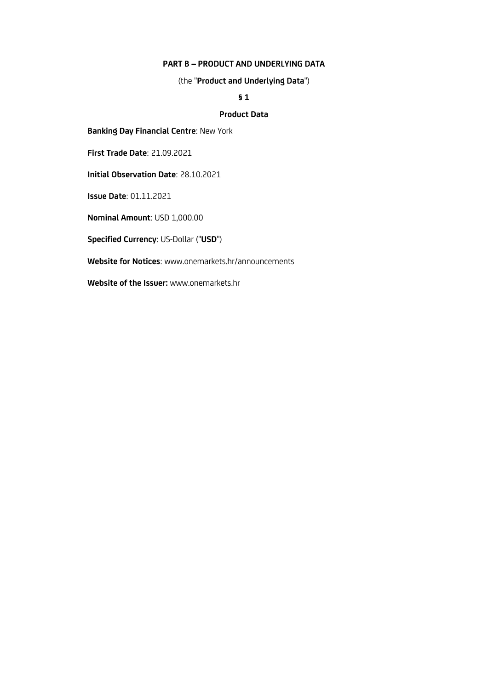### **PART B – PRODUCT AND UNDERLYING DATA**

(the "**Product and Underlying Data**")

# **§ 1**

# **Product Data**

**Banking Day Financial Centre**: New York

**First Trade Date**: 21.09.2021

**Initial Observation Date**: 28.10.2021

**Issue Date**: 01.11.2021

**Nominal Amount**: USD 1,000.00

**Specified Currency**: US-Dollar ("**USD**")

**Website for Notices**: www.onemarkets.hr/announcements

**Website of the Issuer:** www.onemarkets.hr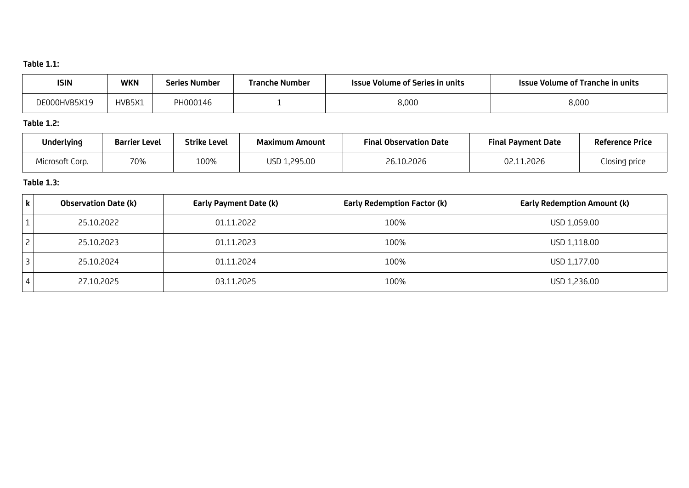# **Table 1.1:**

| <b>ISIN</b>  | <b>WKN</b> | Series Number | Tranche Number | <b>Issue Volume of Series in units</b> | <b>Issue Volume of Tranche in units</b> |
|--------------|------------|---------------|----------------|----------------------------------------|-----------------------------------------|
| DE000HVB5X19 | HVB5X1     | PH000146      |                | 8,000                                  | 8,000                                   |

# **Table 1.2:**

| Underlying      | <b>Barrier Level</b> | <b>Strike Level</b> | <b>Maximum Amount</b> | <b>Final Observation Date</b> | <b>Final Payment Date</b> | <b>Reference Price</b> |
|-----------------|----------------------|---------------------|-----------------------|-------------------------------|---------------------------|------------------------|
| Microsoft Corp. | 70%                  | 100%                | USD 1,295.00          | 26.10.2026                    | .2026<br>በ2 1             | Closing price          |

# **Table 1.3:**

| $\mathbf k$    | <b>Observation Date (k)</b> | Early Payment Date (k) | <b>Early Redemption Factor (k)</b> | <b>Early Redemption Amount (k)</b> |
|----------------|-----------------------------|------------------------|------------------------------------|------------------------------------|
|                | 25.10.2022                  | 01.11.2022             | 100%                               | USD 1,059.00                       |
| $\overline{c}$ | 25.10.2023                  | 01.11.2023             | 100%                               | USD 1,118.00                       |
|                | 25.10.2024                  | 01.11.2024             | 100%                               | USD 1,177.00                       |
|                | 27.10.2025                  | 03.11.2025             | 100%                               | USD 1,236.00                       |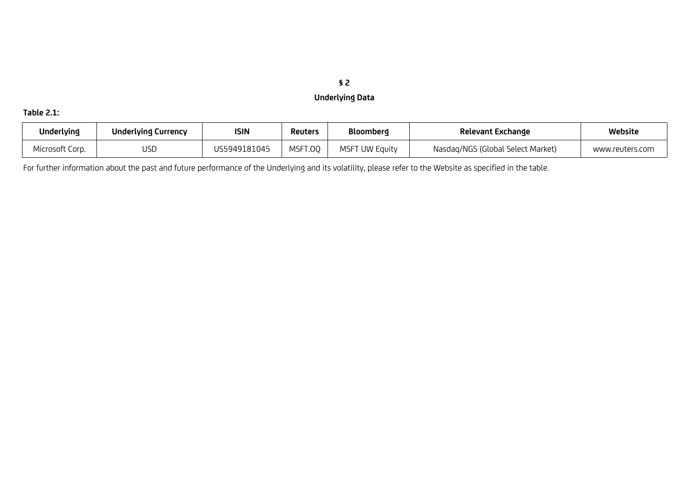# **§ 2 Underlying Data**

# **Table 2.1:**

| Underlying      | Underlying Currency | <b>ISIN</b>  | <b>Reuters</b> | Bloomberg         | Relevant Exchange                 | Website         |
|-----------------|---------------------|--------------|----------------|-------------------|-----------------------------------|-----------------|
| Microsoft Corp. | USE                 | JS5949181045 | MSFT.00        | MSFT<br>UW Equity | Nasdag/NGS (Global Select Market) | www.reuters.com |

For further information about the past and future performance of the Underlying and its volatility, please refer to the Website as specified in the table.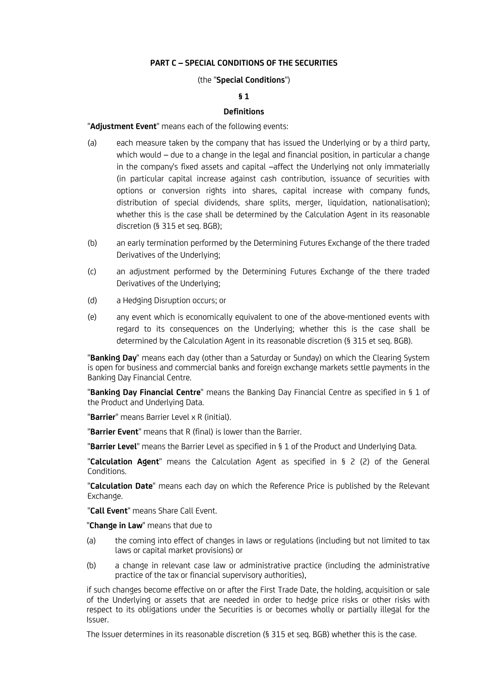### **PART C – SPECIAL CONDITIONS OF THE SECURITIES**

### (the "**Special Conditions**")

### **§ 1**

### **Definitions**

"**Adjustment Event**" means each of the following events:

- (a) each measure taken by the company that has issued the Underlying or by a third party, which would – due to a change in the legal and financial position, in particular a change in the company's fixed assets and capital –affect the Underlying not only immaterially (in particular capital increase against cash contribution, issuance of securities with options or conversion rights into shares, capital increase with company funds, distribution of special dividends, share splits, merger, liquidation, nationalisation); whether this is the case shall be determined by the Calculation Agent in its reasonable discretion (§ 315 et seq. BGB);
- (b) an early termination performed by the Determining Futures Exchange of the there traded Derivatives of the Underlying;
- (c) an adjustment performed by the Determining Futures Exchange of the there traded Derivatives of the Underlying;
- (d) a Hedging Disruption occurs; or
- (e) any event which is economically equivalent to one of the above-mentioned events with regard to its consequences on the Underlying; whether this is the case shall be determined by the Calculation Agent in its reasonable discretion (§ 315 et seq. BGB).

"**Banking Day**" means each day (other than a Saturday or Sunday) on which the Clearing System is open for business and commercial banks and foreign exchange markets settle payments in the Banking Day Financial Centre.

"**Banking Day Financial Centre**" means the Banking Day Financial Centre as specified in § 1 of the Product and Underlying Data.

"**Barrier**" means Barrier Level x R (initial).

"**Barrier Event**" means that R (final) is lower than the Barrier.

"**Barrier Level**" means the Barrier Level as specified in § 1 of the Product and Underlying Data.

"**Calculation Agent**" means the Calculation Agent as specified in § 2 (2) of the General Conditions.

"**Calculation Date**" means each day on which the Reference Price is published by the Relevant Exchange.

"**Call Event**" means Share Call Event.

"**Change in Law**" means that due to

- (a) the coming into effect of changes in laws or regulations (including but not limited to tax laws or capital market provisions) or
- (b) a change in relevant case law or administrative practice (including the administrative practice of the tax or financial supervisory authorities),

if such changes become effective on or after the First Trade Date, the holding, acquisition or sale of the Underlying or assets that are needed in order to hedge price risks or other risks with respect to its obligations under the Securities is or becomes wholly or partially illegal for the Issuer.

The Issuer determines in its reasonable discretion (§ 315 et seq. BGB) whether this is the case.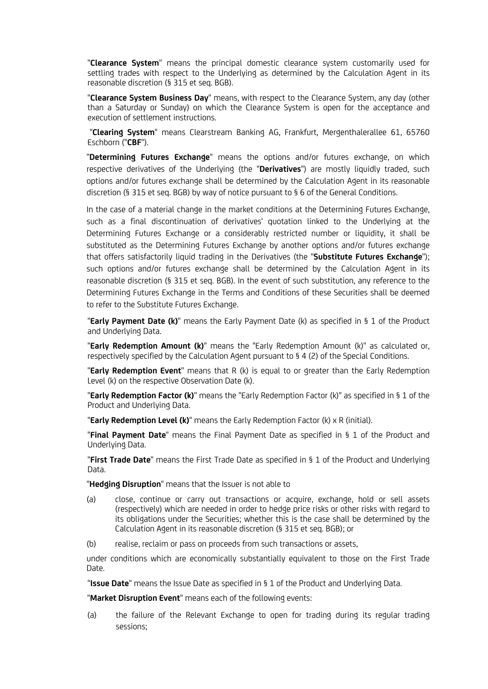"**Clearance System**" means the principal domestic clearance system customarily used for settling trades with respect to the Underlying as determined by the Calculation Agent in its reasonable discretion (§ 315 et seq. BGB).

"**Clearance System Business Day**" means, with respect to the Clearance System, any day (other than a Saturday or Sunday) on which the Clearance System is open for the acceptance and execution of settlement instructions.

 "**Clearing System**" means Clearstream Banking AG, Frankfurt, Mergenthalerallee 61, 65760 Eschborn ("**CBF**").

"**Determining Futures Exchange**" means the options and/or futures exchange, on which respective derivatives of the Underlying (the "**Derivatives**") are mostly liquidly traded, such options and/or futures exchange shall be determined by the Calculation Agent in its reasonable discretion (§ 315 et seq. BGB) by way of notice pursuant to § 6 of the General Conditions.

In the case of a material change in the market conditions at the Determining Futures Exchange, such as a final discontinuation of derivatives' quotation linked to the Underlying at the Determining Futures Exchange or a considerably restricted number or liquidity, it shall be substituted as the Determining Futures Exchange by another options and/or futures exchange that offers satisfactorily liquid trading in the Derivatives (the "**Substitute Futures Exchange**"); such options and/or futures exchange shall be determined by the Calculation Agent in its reasonable discretion (§ 315 et seq. BGB). In the event of such substitution, any reference to the Determining Futures Exchange in the Terms and Conditions of these Securities shall be deemed to refer to the Substitute Futures Exchange.

"**Early Payment Date (k)**" means the Early Payment Date (k) as specified in § 1 of the Product and Underlying Data.

"**Early Redemption Amount (k)**" means the "Early Redemption Amount (k)" as calculated or, respectively specified by the Calculation Agent pursuant to § 4 (2) of the Special Conditions.

"**Early Redemption Event**" means that R (k) is equal to or greater than the Early Redemption Level (k) on the respective Observation Date (k).

"**Early Redemption Factor (k)**" means the "Early Redemption Factor (k)" as specified in § 1 of the Product and Underlying Data.

"**Early Redemption Level (k)**" means the Early Redemption Factor (k) x R (initial).

"**Final Payment Date**" means the Final Payment Date as specified in § 1 of the Product and Underlying Data.

"**First Trade Date**" means the First Trade Date as specified in § 1 of the Product and Underlying Data.

"**Hedging Disruption**" means that the Issuer is not able to

- (a) close, continue or carry out transactions or acquire, exchange, hold or sell assets (respectively) which are needed in order to hedge price risks or other risks with regard to its obligations under the Securities; whether this is the case shall be determined by the Calculation Agent in its reasonable discretion (§ 315 et seq. BGB); or
- (b) realise, reclaim or pass on proceeds from such transactions or assets,

under conditions which are economically substantially equivalent to those on the First Trade Date.

"**Issue Date**" means the Issue Date as specified in § 1 of the Product and Underlying Data.

"**Market Disruption Event**" means each of the following events:

(a) the failure of the Relevant Exchange to open for trading during its regular trading sessions;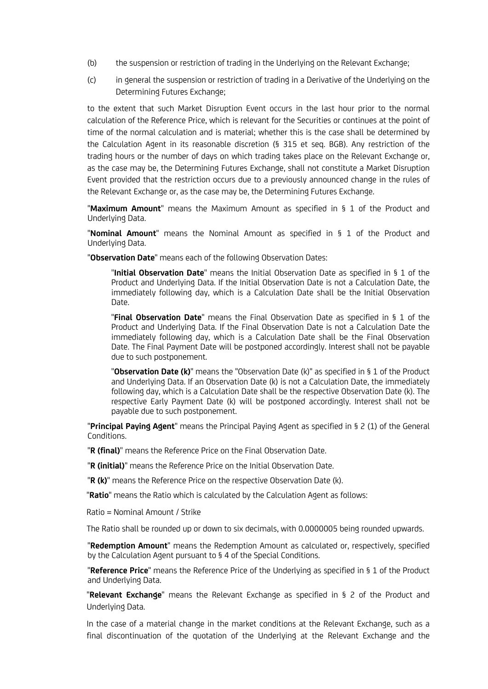- (b) the suspension or restriction of trading in the Underlying on the Relevant Exchange;
- (c) in general the suspension or restriction of trading in a Derivative of the Underlying on the Determining Futures Exchange;

to the extent that such Market Disruption Event occurs in the last hour prior to the normal calculation of the Reference Price, which is relevant for the Securities or continues at the point of time of the normal calculation and is material; whether this is the case shall be determined by the Calculation Agent in its reasonable discretion (§ 315 et seq. BGB). Any restriction of the trading hours or the number of days on which trading takes place on the Relevant Exchange or, as the case may be, the Determining Futures Exchange, shall not constitute a Market Disruption Event provided that the restriction occurs due to a previously announced change in the rules of the Relevant Exchange or, as the case may be, the Determining Futures Exchange.

"**Maximum Amount**" means the Maximum Amount as specified in § 1 of the Product and Underlying Data.

"**Nominal Amount**" means the Nominal Amount as specified in § 1 of the Product and Underlying Data.

"**Observation Date**" means each of the following Observation Dates:

"**Initial Observation Date**" means the Initial Observation Date as specified in § 1 of the Product and Underlying Data. If the Initial Observation Date is not a Calculation Date, the immediately following day, which is a Calculation Date shall be the Initial Observation Date.

"**Final Observation Date**" means the Final Observation Date as specified in § 1 of the Product and Underlying Data. If the Final Observation Date is not a Calculation Date the immediately following day, which is a Calculation Date shall be the Final Observation Date. The Final Payment Date will be postponed accordingly. Interest shall not be payable due to such postponement.

"**Observation Date (k)**" means the "Observation Date (k)" as specified in § 1 of the Product and Underlying Data. If an Observation Date (k) is not a Calculation Date, the immediately following day, which is a Calculation Date shall be the respective Observation Date (k). The respective Early Payment Date (k) will be postponed accordingly. Interest shall not be payable due to such postponement.

"**Principal Paying Agent**" means the Principal Paying Agent as specified in § 2 (1) of the General Conditions.

"**R (final)**" means the Reference Price on the Final Observation Date.

"**R (initial)**" means the Reference Price on the Initial Observation Date.

"**R (k)**" means the Reference Price on the respective Observation Date (k).

"**Ratio**" means the Ratio which is calculated by the Calculation Agent as follows:

Ratio = Nominal Amount / Strike

The Ratio shall be rounded up or down to six decimals, with 0.0000005 being rounded upwards.

"**Redemption Amount**" means the Redemption Amount as calculated or, respectively, specified by the Calculation Agent pursuant to § 4 of the Special Conditions.

"**Reference Price**" means the Reference Price of the Underlying as specified in § 1 of the Product and Underlying Data.

"**Relevant Exchange**" means the Relevant Exchange as specified in § 2 of the Product and Underlying Data.

In the case of a material change in the market conditions at the Relevant Exchange, such as a final discontinuation of the quotation of the Underlying at the Relevant Exchange and the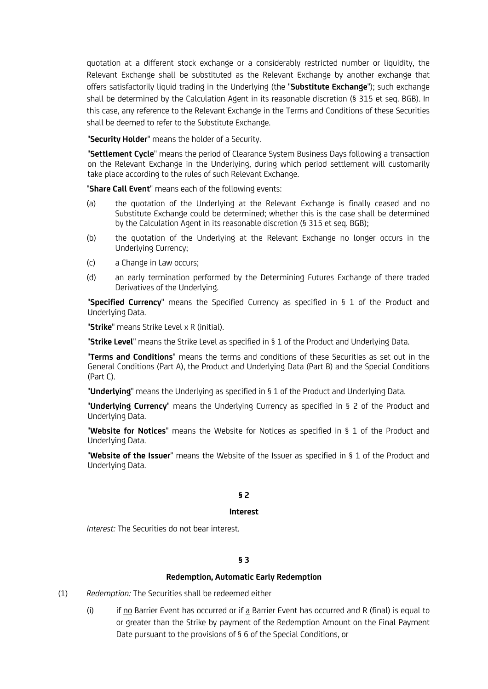quotation at a different stock exchange or a considerably restricted number or liquidity, the Relevant Exchange shall be substituted as the Relevant Exchange by another exchange that offers satisfactorily liquid trading in the Underlying (the "**Substitute Exchange**"); such exchange shall be determined by the Calculation Agent in its reasonable discretion (§ 315 et seq. BGB). In this case, any reference to the Relevant Exchange in the Terms and Conditions of these Securities shall be deemed to refer to the Substitute Exchange.

"**Security Holder**" means the holder of a Security.

"**Settlement Cycle**" means the period of Clearance System Business Days following a transaction on the Relevant Exchange in the Underlying, during which period settlement will customarily take place according to the rules of such Relevant Exchange.

"**Share Call Event**" means each of the following events:

- (a) the quotation of the Underlying at the Relevant Exchange is finally ceased and no Substitute Exchange could be determined; whether this is the case shall be determined by the Calculation Agent in its reasonable discretion (§ 315 et seq. BGB);
- (b) the quotation of the Underlying at the Relevant Exchange no longer occurs in the Underlying Currency;
- (c) a Change in Law occurs;
- (d) an early termination performed by the Determining Futures Exchange of there traded Derivatives of the Underlying.

"**Specified Currency**" means the Specified Currency as specified in § 1 of the Product and Underlying Data.

"**Strike**" means Strike Level x R (initial).

"**Strike Level**" means the Strike Level as specified in § 1 of the Product and Underlying Data.

"**Terms and Conditions**" means the terms and conditions of these Securities as set out in the General Conditions (Part A), the Product and Underlying Data (Part B) and the Special Conditions (Part C).

"**Underlying**" means the Underlying as specified in § 1 of the Product and Underlying Data.

"**Underlying Currency**" means the Underlying Currency as specified in § 2 of the Product and Underlying Data.

"**Website for Notices**" means the Website for Notices as specified in § 1 of the Product and Underlying Data.

"**Website of the Issuer**" means the Website of the Issuer as specified in § 1 of the Product and Underlying Data.

### **§ 2**

#### **Interest**

*Interest:* The Securities do not bear interest.

# **§ 3**

#### **Redemption, Automatic Early Redemption**

- (1) *Redemption:* The Securities shall be redeemed either
	- (i) if no Barrier Event has occurred or if  $\underline{a}$  Barrier Event has occurred and R (final) is equal to or greater than the Strike by payment of the Redemption Amount on the Final Payment Date pursuant to the provisions of § 6 of the Special Conditions, or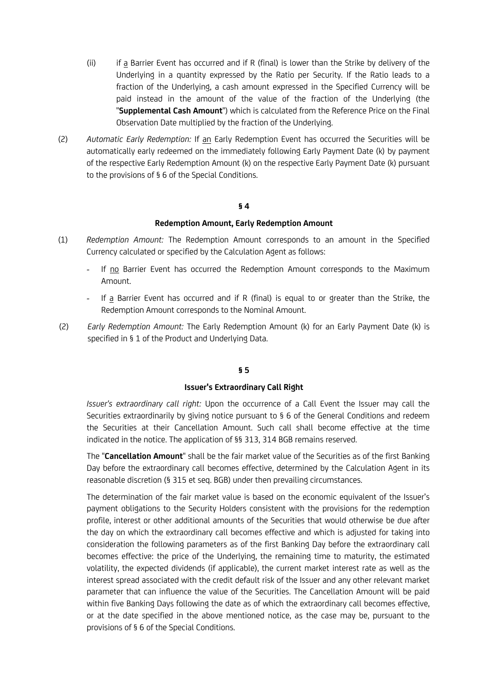- (ii) if a Barrier Event has occurred and if R (final) is lower than the Strike by delivery of the Underlying in a quantity expressed by the Ratio per Security. If the Ratio leads to a fraction of the Underlying, a cash amount expressed in the Specified Currency will be paid instead in the amount of the value of the fraction of the Underlying (the "**Supplemental Cash Amount**") which is calculated from the Reference Price on the Final Observation Date multiplied by the fraction of the Underlying.
- (2) *Automatic Early Redemption:* If an Early Redemption Event has occurred the Securities will be automatically early redeemed on the immediately following Early Payment Date (k) by payment of the respective Early Redemption Amount (k) on the respective Early Payment Date (k) pursuant to the provisions of § 6 of the Special Conditions.

#### **§ 4**

#### **Redemption Amount, Early Redemption Amount**

- (1) *Redemption Amount:* The Redemption Amount corresponds to an amount in the Specified Currency calculated or specified by the Calculation Agent as follows:
	- *-* If no Barrier Event has occurred the Redemption Amount corresponds to the Maximum Amount.
	- *-* If a Barrier Event has occurred and if R (final) is equal to or greater than the Strike, the Redemption Amount corresponds to the Nominal Amount.
- (2) *Early Redemption Amount:* The Early Redemption Amount (k) for an Early Payment Date (k) is specified in § 1 of the Product and Underlying Data.

#### **§ 5**

#### **Issuer's Extraordinary Call Right**

*Issuer's extraordinary call right:* Upon the occurrence of a Call Event the Issuer may call the Securities extraordinarily by giving notice pursuant to § 6 of the General Conditions and redeem the Securities at their Cancellation Amount. Such call shall become effective at the time indicated in the notice. The application of §§ 313, 314 BGB remains reserved.

The "**Cancellation Amount**" shall be the fair market value of the Securities as of the first Banking Day before the extraordinary call becomes effective, determined by the Calculation Agent in its reasonable discretion (§ 315 et seq. BGB) under then prevailing circumstances.

The determination of the fair market value is based on the economic equivalent of the Issuer's payment obligations to the Security Holders consistent with the provisions for the redemption profile, interest or other additional amounts of the Securities that would otherwise be due after the day on which the extraordinary call becomes effective and which is adjusted for taking into consideration the following parameters as of the first Banking Day before the extraordinary call becomes effective: the price of the Underlying, the remaining time to maturity, the estimated volatility, the expected dividends (if applicable), the current market interest rate as well as the interest spread associated with the credit default risk of the Issuer and any other relevant market parameter that can influence the value of the Securities. The Cancellation Amount will be paid within five Banking Days following the date as of which the extraordinary call becomes effective, or at the date specified in the above mentioned notice, as the case may be, pursuant to the provisions of § 6 of the Special Conditions.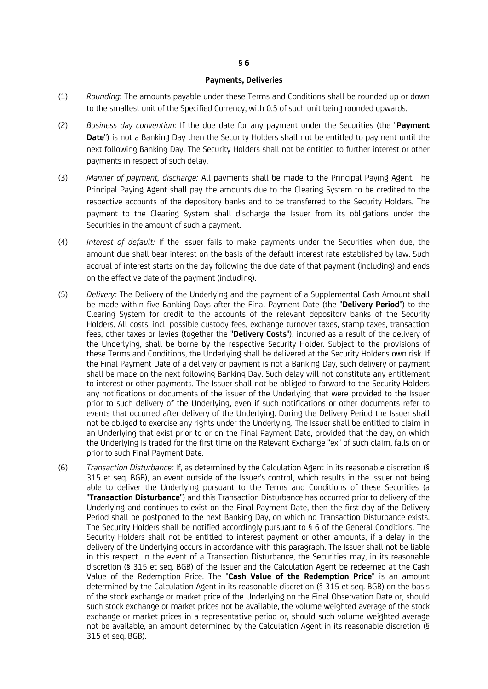#### **Payments, Deliveries**

- (1) *Rounding*: The amounts payable under these Terms and Conditions shall be rounded up or down to the smallest unit of the Specified Currency, with 0.5 of such unit being rounded upwards.
- (2) *Business day convention:* If the due date for any payment under the Securities (the "**Payment Date**") is not a Banking Day then the Security Holders shall not be entitled to payment until the next following Banking Day. The Security Holders shall not be entitled to further interest or other payments in respect of such delay.
- (3) *Manner of payment, discharge:* All payments shall be made to the Principal Paying Agent. The Principal Paying Agent shall pay the amounts due to the Clearing System to be credited to the respective accounts of the depository banks and to be transferred to the Security Holders. The payment to the Clearing System shall discharge the Issuer from its obligations under the Securities in the amount of such a payment.
- (4) *Interest of default:* If the Issuer fails to make payments under the Securities when due, the amount due shall bear interest on the basis of the default interest rate established by law. Such accrual of interest starts on the day following the due date of that payment (including) and ends on the effective date of the payment (including).
- (5) *Delivery:* The Delivery of the Underlying and the payment of a Supplemental Cash Amount shall be made within five Banking Days after the Final Payment Date (the "**Delivery Period**") to the Clearing System for credit to the accounts of the relevant depository banks of the Security Holders. All costs, incl. possible custody fees, exchange turnover taxes, stamp taxes, transaction fees, other taxes or levies (together the "**Delivery Costs**"), incurred as a result of the delivery of the Underlying, shall be borne by the respective Security Holder. Subject to the provisions of these Terms and Conditions, the Underlying shall be delivered at the Security Holder's own risk. If the Final Payment Date of a delivery or payment is not a Banking Day, such delivery or payment shall be made on the next following Banking Day. Such delay will not constitute any entitlement to interest or other payments. The Issuer shall not be obliged to forward to the Security Holders any notifications or documents of the issuer of the Underlying that were provided to the Issuer prior to such delivery of the Underlying, even if such notifications or other documents refer to events that occurred after delivery of the Underlying. During the Delivery Period the Issuer shall not be obliged to exercise any rights under the Underlying. The Issuer shall be entitled to claim in an Underlying that exist prior to or on the Final Payment Date, provided that the day, on which the Underlying is traded for the first time on the Relevant Exchange "ex" of such claim, falls on or prior to such Final Payment Date.
- (6) *Transaction Disturbance:* If, as determined by the Calculation Agent in its reasonable discretion (§ 315 et seq. BGB), an event outside of the Issuer's control, which results in the Issuer not being able to deliver the Underlying pursuant to the Terms and Conditions of these Securities (a "**Transaction Disturbance**") and this Transaction Disturbance has occurred prior to delivery of the Underlying and continues to exist on the Final Payment Date, then the first day of the Delivery Period shall be postponed to the next Banking Day, on which no Transaction Disturbance exists. The Security Holders shall be notified accordingly pursuant to § 6 of the General Conditions. The Security Holders shall not be entitled to interest payment or other amounts, if a delay in the delivery of the Underlying occurs in accordance with this paragraph. The Issuer shall not be liable in this respect. In the event of a Transaction Disturbance, the Securities may, in its reasonable discretion (§ 315 et seq. BGB) of the Issuer and the Calculation Agent be redeemed at the Cash Value of the Redemption Price. The "**Cash Value of the Redemption Price**" is an amount determined by the Calculation Agent in its reasonable discretion (§ 315 et seq. BGB) on the basis of the stock exchange or market price of the Underlying on the Final Observation Date or, should such stock exchange or market prices not be available, the volume weighted average of the stock exchange or market prices in a representative period or, should such volume weighted average not be available, an amount determined by the Calculation Agent in its reasonable discretion (§ 315 et seq. BGB).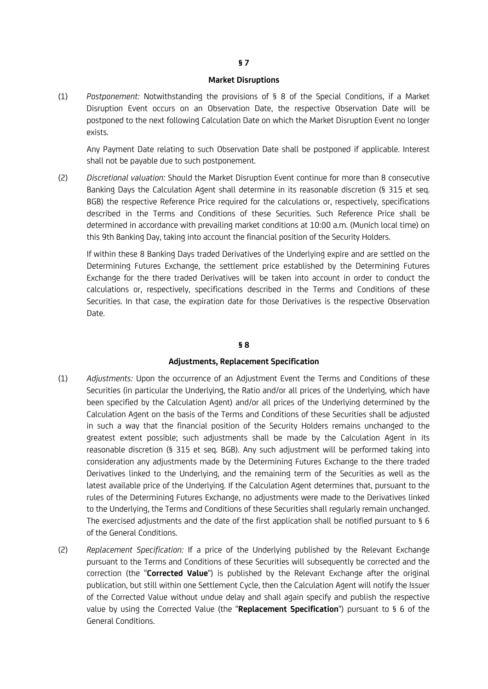#### **Market Disruptions**

(1) *Postponement:* Notwithstanding the provisions of § 8 of the Special Conditions, if a Market Disruption Event occurs on an Observation Date, the respective Observation Date will be postponed to the next following Calculation Date on which the Market Disruption Event no longer exists.

Any Payment Date relating to such Observation Date shall be postponed if applicable. Interest shall not be payable due to such postponement.

(2) *Discretional valuation:* Should the Market Disruption Event continue for more than 8 consecutive Banking Days the Calculation Agent shall determine in its reasonable discretion (§ 315 et seq. BGB) the respective Reference Price required for the calculations or, respectively, specifications described in the Terms and Conditions of these Securities. Such Reference Price shall be determined in accordance with prevailing market conditions at 10:00 a.m. (Munich local time) on this 9th Banking Day, taking into account the financial position of the Security Holders.

If within these 8 Banking Days traded Derivatives of the Underlying expire and are settled on the Determining Futures Exchange, the settlement price established by the Determining Futures Exchange for the there traded Derivatives will be taken into account in order to conduct the calculations or, respectively, specifications described in the Terms and Conditions of these Securities. In that case, the expiration date for those Derivatives is the respective Observation Date.

### **§ 8**

### **Adjustments, Replacement Specification**

- (1) *Adjustments:* Upon the occurrence of an Adjustment Event the Terms and Conditions of these Securities (in particular the Underlying, the Ratio and/or all prices of the Underlying, which have been specified by the Calculation Agent) and/or all prices of the Underlying determined by the Calculation Agent on the basis of the Terms and Conditions of these Securities shall be adjusted in such a way that the financial position of the Security Holders remains unchanged to the greatest extent possible; such adjustments shall be made by the Calculation Agent in its reasonable discretion (§ 315 et seq. BGB). Any such adjustment will be performed taking into consideration any adjustments made by the Determining Futures Exchange to the there traded Derivatives linked to the Underlying, and the remaining term of the Securities as well as the latest available price of the Underlying. If the Calculation Agent determines that, pursuant to the rules of the Determining Futures Exchange, no adjustments were made to the Derivatives linked to the Underlying, the Terms and Conditions of these Securities shall regularly remain unchanged. The exercised adjustments and the date of the first application shall be notified pursuant to § 6 of the General Conditions.
- (2) *Replacement Specification:* If a price of the Underlying published by the Relevant Exchange pursuant to the Terms and Conditions of these Securities will subsequently be corrected and the correction (the "**Corrected Value**") is published by the Relevant Exchange after the original publication, but still within one Settlement Cycle, then the Calculation Agent will notify the Issuer of the Corrected Value without undue delay and shall again specify and publish the respective value by using the Corrected Value (the "**Replacement Specification**") pursuant to § 6 of the General Conditions.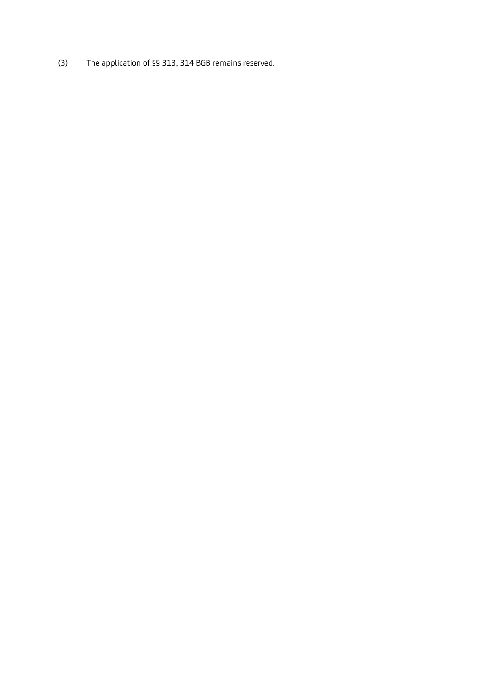(3) The application of §§ 313, 314 BGB remains reserved.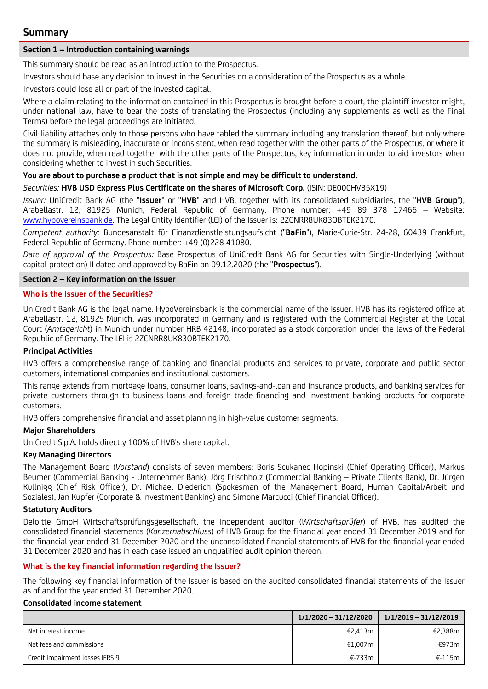# **Summary**

### **Section 1 – Introduction containing warnings**

This summary should be read as an introduction to the Prospectus.

Investors should base any decision to invest in the Securities on a consideration of the Prospectus as a whole.

Investors could lose all or part of the invested capital.

Where a claim relating to the information contained in this Prospectus is brought before a court, the plaintiff investor might, under national law, have to bear the costs of translating the Prospectus (including any supplements as well as the Final Terms) before the legal proceedings are initiated.

Civil liability attaches only to those persons who have tabled the summary including any translation thereof, but only where the summary is misleading, inaccurate or inconsistent, when read together with the other parts of the Prospectus, or where it does not provide, when read together with the other parts of the Prospectus, key information in order to aid investors when considering whether to invest in such Securities.

## **You are about to purchase a product that is not simple and may be difficult to understand.**

*Securities:* **HVB USD Express Plus Certificate on the shares of Microsoft Corp.** (ISIN: DE000HVB5X19)

*Issuer:* UniCredit Bank AG (the "**Issuer**" or "**HVB**" and HVB, together with its consolidated subsidiaries, the "**HVB Group**"), Arabellastr. 12, 81925 Munich, Federal Republic of Germany. Phone number: +49 89 378 17466 – Website: [www.hypovereinsbank.de](http://www.hypovereinsbank.de/). The Legal Entity Identifier (LEI) of the Issuer is: 2ZCNRR8UK83OBTEK2170.

*Competent authority:* Bundesanstalt für Finanzdienstleistungsaufsicht ("**BaFin**"), Marie-Curie-Str. 24-28, 60439 Frankfurt, Federal Republic of Germany. Phone number: +49 (0)228 41080.

*Date of approval of the Prospectus:* Base Prospectus of UniCredit Bank AG for Securities with Single-Underlying (without capital protection) II dated and approved by BaFin on 09.12.2020 (the "**Prospectus**").

### **Section 2 – Key information on the Issuer**

### **Who is the Issuer of the Securities?**

UniCredit Bank AG is the legal name. HypoVereinsbank is the commercial name of the Issuer. HVB has its registered office at Arabellastr. 12, 81925 Munich, was incorporated in Germany and is registered with the Commercial Register at the Local Court (*Amtsgericht*) in Munich under number HRB 42148, incorporated as a stock corporation under the laws of the Federal Republic of Germany. The LEI is 2ZCNRR8UK83OBTEK2170.

### **Principal Activities**

HVB offers a comprehensive range of banking and financial products and services to private, corporate and public sector customers, international companies and institutional customers.

This range extends from mortgage loans, consumer loans, savings-and-loan and insurance products, and banking services for private customers through to business loans and foreign trade financing and investment banking products for corporate customers.

HVB offers comprehensive financial and asset planning in high-value customer segments.

### **Major Shareholders**

UniCredit S.p.A. holds directly 100% of HVB's share capital.

### **Key Managing Directors**

The Management Board (*Vorstand*) consists of seven members: Boris Scukanec Hopinski (Chief Operating Officer), Markus Beumer (Commercial Banking - Unternehmer Bank), Jörg Frischholz (Commercial Banking – Private Clients Bank), Dr. Jürgen Kullnigg (Chief Risk Officer), Dr. Michael Diederich (Spokesman of the Management Board, Human Capital/Arbeit und Soziales), Jan Kupfer (Corporate & Investment Banking) and Simone Marcucci (Chief Financial Officer).

### **Statutory Auditors**

Deloitte GmbH Wirtschaftsprüfungsgesellschaft, the independent auditor (*Wirtschaftsprüfer*) of HVB, has audited the consolidated financial statements (*Konzernabschluss*) of HVB Group for the financial year ended 31 December 2019 and for the financial year ended 31 December 2020 and the unconsolidated financial statements of HVB for the financial year ended 31 December 2020 and has in each case issued an unqualified audit opinion thereon.

### **What is the key financial information regarding the Issuer?**

The following key financial information of the Issuer is based on the audited consolidated financial statements of the Issuer as of and for the year ended 31 December 2020.

#### **Consolidated income statement**

|                                 | 1/1/2020 - 31/12/2020 | 1/1/2019 – 31/12/2019 |
|---------------------------------|-----------------------|-----------------------|
| Net interest income             | €2.413m               | €2,388m               |
| Net fees and commissions        | €1.007m               | €973m                 |
| Credit impairment losses IFRS 9 | €-733m                | $£-115m$              |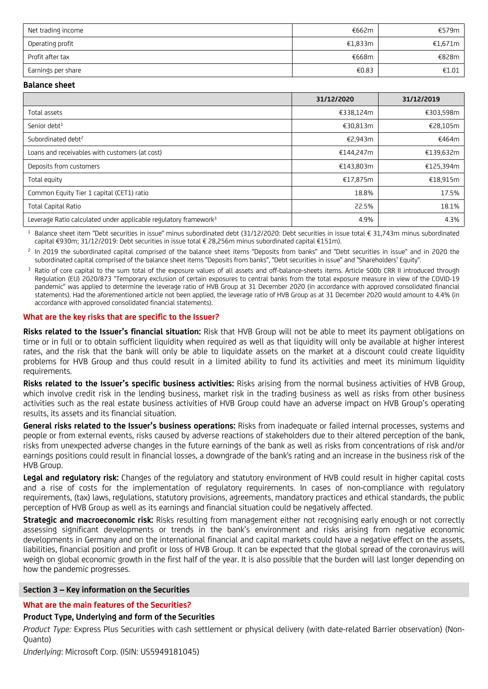| Net trading income | €662m   | €579m $\vert$   |
|--------------------|---------|-----------------|
| Operating profit   | €1,833m | €1,671m $\vert$ |
| Profit after tax   | €668m   | €828m           |
| Earnings per share | €0.83   | €1.01           |

#### **Balance sheet**

|                                                                              | 31/12/2020 | 31/12/2019 |
|------------------------------------------------------------------------------|------------|------------|
| Total assets                                                                 | €338,124m  | €303,598m  |
| Senior debt <sup>1</sup>                                                     | €30,813m   | €28,105m   |
| Subordinated debt <sup>2</sup>                                               | €2,943m    | €464m      |
| Loans and receivables with customers (at cost)                               | €144,247m  | €139,632m  |
| Deposits from customers                                                      | €143,803m  | €125,394m  |
| Total equity                                                                 | €17,875m   | €18,915m   |
| Common Equity Tier 1 capital (CET1) ratio                                    | 18.8%      | 17.5%      |
| <b>Total Capital Ratio</b>                                                   | 22.5%      | 18.1%      |
| Leverage Ratio calculated under applicable regulatory framework <sup>3</sup> | 4.9%       | 4.3%       |

<sup>1</sup> Balance sheet item "Debt securities in issue" minus subordinated debt (31/12/2020: Debt securities in issue total € 31,743m minus subordinated capital €930m; 31/12/2019: Debt securities in issue total € 28,256m minus subordinated capital €151m).

 $<sup>2</sup>$  In 2019 the subordinated capital comprised of the balance sheet items "Deposits from banks" and "Debt securities in issue" and in 2020 the</sup> subordinated capital comprised of the balance sheet items "Deposits from banks", "Debt securities in issue" and "Shareholders' Equity".

Ratio of core capital to the sum total of the exposure values of all assets and off-balance-sheets items. Article 500b CRR II introduced through Regulation (EU) 2020/873 "Temporary exclusion of certain exposures to central banks from the total exposure measure in view of the COVID-19 pandemic" was applied to determine the leverage ratio of HVB Group at 31 December 2020 (in accordance with approved consolidated financial statements). Had the aforementioned article not been applied, the leverage ratio of HVB Group as at 31 December 2020 would amount to 4.4% (in accordance with approved consolidated financial statements).

#### **What are the key risks that are specific to the Issuer?**

**Risks related to the Issuer's financial situation:** Risk that HVB Group will not be able to meet its payment obligations on time or in full or to obtain sufficient liquidity when required as well as that liquidity will only be available at higher interest rates, and the risk that the bank will only be able to liquidate assets on the market at a discount could create liquidity problems for HVB Group and thus could result in a limited ability to fund its activities and meet its minimum liquidity requirements.

**Risks related to the Issuer's specific business activities:** Risks arising from the normal business activities of HVB Group, which involve credit risk in the lending business, market risk in the trading business as well as risks from other business activities such as the real estate business activities of HVB Group could have an adverse impact on HVB Group's operating results, its assets and its financial situation.

**General risks related to the Issuer's business operations:** Risks from inadequate or failed internal processes, systems and people or from external events, risks caused by adverse reactions of stakeholders due to their altered perception of the bank, risks from unexpected adverse changes in the future earnings of the bank as well as risks from concentrations of risk and/or earnings positions could result in financial losses, a downgrade of the bank's rating and an increase in the business risk of the HVB Group.

**Legal and regulatory risk:** Changes of the regulatory and statutory environment of HVB could result in higher capital costs and a rise of costs for the implementation of regulatory requirements. In cases of non-compliance with regulatory requirements, (tax) laws, regulations, statutory provisions, agreements, mandatory practices and ethical standards, the public perception of HVB Group as well as its earnings and financial situation could be negatively affected.

**Strategic and macroeconomic risk:** Risks resulting from management either not recognising early enough or not correctly assessing significant developments or trends in the bank's environment and risks arising from negative economic developments in Germany and on the international financial and capital markets could have a negative effect on the assets, liabilities, financial position and profit or loss of HVB Group. It can be expected that the global spread of the coronavirus will weigh on global economic growth in the first half of the year. It is also possible that the burden will last longer depending on how the pandemic progresses.

### **Section 3 – Key information on the Securities**

# **What are the main features of the Securities?**

### **Product Type, Underlying and form of the Securities**

*Product Type:* Express Plus Securities with cash settlement or physical delivery (with date-related Barrier observation) (Non-Quanto)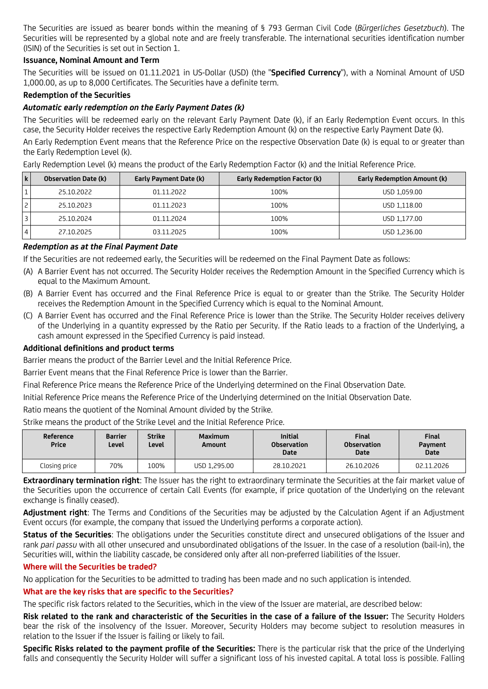The Securities are issued as bearer bonds within the meaning of § 793 German Civil Code (*Bürgerliches Gesetzbuch*). The Securities will be represented by a global note and are freely transferable. The international securities identification number (ISIN) of the Securities is set out in Section 1.

# **Issuance, Nominal Amount and Term**

The Securities will be issued on 01.11.2021 in US-Dollar (USD) (the "**Specified Currency**"), with a Nominal Amount of USD 1,000.00, as up to 8,000 Certificates. The Securities have a definite term.

### **Redemption of the Securities**

## *Automatic early redemption on the Early Payment Dates (k)*

The Securities will be redeemed early on the relevant Early Payment Date (k), if an Early Redemption Event occurs. In this case, the Security Holder receives the respective Early Redemption Amount (k) on the respective Early Payment Date (k).

An Early Redemption Event means that the Reference Price on the respective Observation Date (k) is equal to or greater than the Early Redemption Level (k).

Early Redemption Level (k) means the product of the Early Redemption Factor (k) and the Initial Reference Price.

| l ki | <b>Observation Date (k)</b> | Early Payment Date (k) | Early Redemption Factor (k) | <b>Early Redemption Amount (k)</b> |
|------|-----------------------------|------------------------|-----------------------------|------------------------------------|
|      | 25.10.2022                  | 01.11.2022             | 100%                        | USD 1.059.00                       |
|      | 25.10.2023                  | 01.11.2023             | 100%                        | USD 1,118.00                       |
|      | 25.10.2024                  | 01.11.2024             | 100%                        | USD 1,177.00                       |
|      | 27.10.2025                  | 03.11.2025             | 100%                        | USD 1,236.00                       |

### *Redemption as at the Final Payment Date*

If the Securities are not redeemed early, the Securities will be redeemed on the Final Payment Date as follows:

- (A) A Barrier Event has not occurred. The Security Holder receives the Redemption Amount in the Specified Currency which is equal to the Maximum Amount.
- (B) A Barrier Event has occurred and the Final Reference Price is equal to or greater than the Strike. The Security Holder receives the Redemption Amount in the Specified Currency which is equal to the Nominal Amount.
- (C) A Barrier Event has occurred and the Final Reference Price is lower than the Strike. The Security Holder receives delivery of the Underlying in a quantity expressed by the Ratio per Security. If the Ratio leads to a fraction of the Underlying, a cash amount expressed in the Specified Currency is paid instead.

# **Additional definitions and product terms**

Barrier means the product of the Barrier Level and the Initial Reference Price.

Barrier Event means that the Final Reference Price is lower than the Barrier.

Final Reference Price means the Reference Price of the Underlying determined on the Final Observation Date.

Initial Reference Price means the Reference Price of the Underlying determined on the Initial Observation Date.

Ratio means the quotient of the Nominal Amount divided by the Strike.

Strike means the product of the Strike Level and the Initial Reference Price.

| Reference<br><b>Price</b> | <b>Barrier</b><br>Level | <b>Strike</b><br>Level | <b>Maximum</b><br>Amount | <b>Initial</b><br><b>Observation</b><br>Date | <b>Final</b><br><b>Observation</b><br><b>Date</b> | <b>Final</b><br>Payment<br><b>Date</b> |
|---------------------------|-------------------------|------------------------|--------------------------|----------------------------------------------|---------------------------------------------------|----------------------------------------|
| Closing price             | 70%                     | 100%                   | USD 1,295.00             | 28.10.2021                                   | 26.10.2026                                        | 02.11.2026                             |

**Extraordinary termination right**: The Issuer has the right to extraordinary terminate the Securities at the fair market value of the Securities upon the occurrence of certain Call Events (for example, if price quotation of the Underlying on the relevant exchange is finally ceased).

**Adjustment right**: The Terms and Conditions of the Securities may be adjusted by the Calculation Agent if an Adjustment Event occurs (for example, the company that issued the Underlying performs a corporate action).

**Status of the Securities**: The obligations under the Securities constitute direct and unsecured obligations of the Issuer and rank *pari passu* with all other unsecured and unsubordinated obligations of the Issuer. In the case of a resolution (bail-in), the Securities will, within the liability cascade, be considered only after all non-preferred liabilities of the Issuer.

### **Where will the Securities be traded?**

No application for the Securities to be admitted to trading has been made and no such application is intended.

# **What are the key risks that are specific to the Securities?**

The specific risk factors related to the Securities, which in the view of the Issuer are material, are described below:

**Risk related to the rank and characteristic of the Securities in the case of a failure of the Issuer:** The Security Holders bear the risk of the insolvency of the Issuer. Moreover, Security Holders may become subject to resolution measures in relation to the Issuer if the Issuer is failing or likely to fail.

**Specific Risks related to the payment profile of the Securities:** There is the particular risk that the price of the Underlying falls and consequently the Security Holder will suffer a significant loss of his invested capital. A total loss is possible. Falling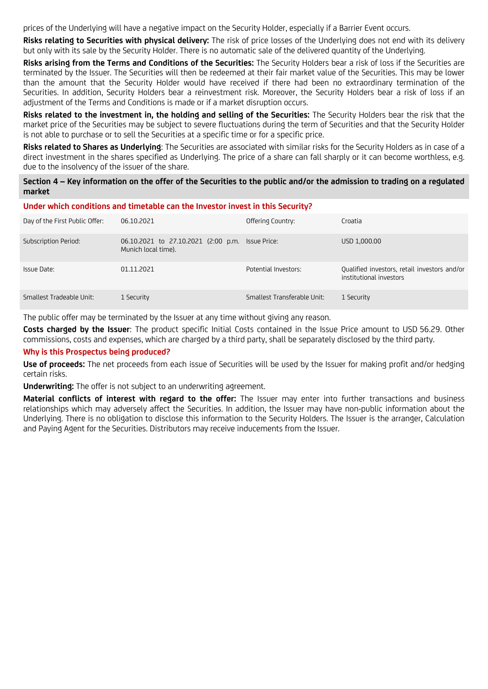prices of the Underlying will have a negative impact on the Security Holder, especially if a Barrier Event occurs.

**Risks relating to Securities with physical delivery:** The risk of price losses of the Underlying does not end with its delivery but only with its sale by the Security Holder. There is no automatic sale of the delivered quantity of the Underlying.

**Risks arising from the Terms and Conditions of the Securities:** The Security Holders bear a risk of loss if the Securities are terminated by the Issuer. The Securities will then be redeemed at their fair market value of the Securities. This may be lower than the amount that the Security Holder would have received if there had been no extraordinary termination of the Securities. In addition, Security Holders bear a reinvestment risk. Moreover, the Security Holders bear a risk of loss if an adjustment of the Terms and Conditions is made or if a market disruption occurs.

**Risks related to the investment in, the holding and selling of the Securities:** The Security Holders bear the risk that the market price of the Securities may be subject to severe fluctuations during the term of Securities and that the Security Holder is not able to purchase or to sell the Securities at a specific time or for a specific price.

**Risks related to Shares as Underlying**: The Securities are associated with similar risks for the Security Holders as in case of a direct investment in the shares specified as Underlying. The price of a share can fall sharply or it can become worthless, e.g. due to the insolvency of the issuer of the share.

### **Section 4 – Key information on the offer of the Securities to the public and/or the admission to trading on a regulated market**

#### **Under which conditions and timetable can the Investor invest in this Security?**

| Day of the First Public Offer: | 06.10.2021                                                              | Offering Country:           | Croatia                                                                 |
|--------------------------------|-------------------------------------------------------------------------|-----------------------------|-------------------------------------------------------------------------|
| Subscription Period:           | 06.10.2021 to 27.10.2021 (2:00 p.m. Issue Price:<br>Munich local time). |                             | USD 1,000.00                                                            |
| Issue Date:                    | 01.11.2021                                                              | Potential Investors:        | Qualified investors, retail investors and/or<br>institutional investors |
| Smallest Tradeable Unit:       | 1 Security                                                              | Smallest Transferable Unit: | 1 Security                                                              |

The public offer may be terminated by the Issuer at any time without giving any reason.

**Costs charged by the Issuer**: The product specific Initial Costs contained in the Issue Price amount to USD 56.29. Other commissions, costs and expenses, which are charged by a third party, shall be separately disclosed by the third party.

### **Why is this Prospectus being produced?**

**Use of proceeds:** The net proceeds from each issue of Securities will be used by the Issuer for making profit and/or hedging certain risks.

**Underwriting:** The offer is not subject to an underwriting agreement.

**Material conflicts of interest with regard to the offer:** The Issuer may enter into further transactions and business relationships which may adversely affect the Securities. In addition, the Issuer may have non-public information about the Underlying. There is no obligation to disclose this information to the Security Holders. The Issuer is the arranger, Calculation and Paying Agent for the Securities. Distributors may receive inducements from the Issuer.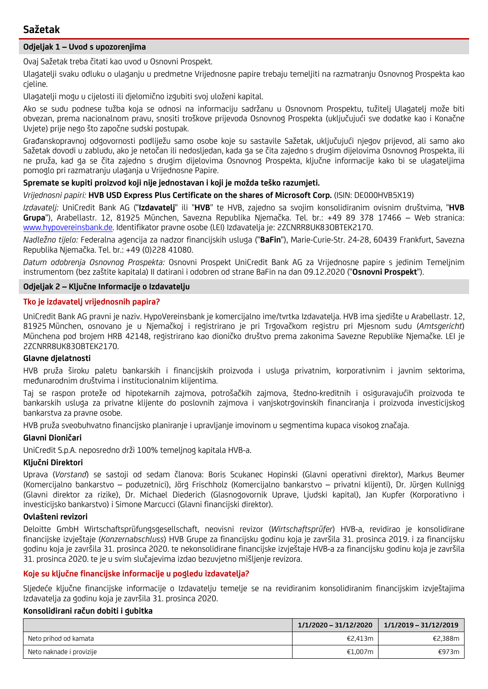# **Sažetak**

# **Odjeljak 1 – Uvod s upozorenjima**

Ovaj Sažetak treba čitati kao uvod u Osnovni Prospekt.

Ulagatelji svaku odluku o ulaganju u predmetne Vrijednosne papire trebaju temeljiti na razmatranju Osnovnog Prospekta kao cjeline.

Ulagatelji mogu u cijelosti ili djelomično izgubiti svoj uloženi kapital.

Ako se sudu podnese tužba koja se odnosi na informaciju sadržanu u Osnovnom Prospektu, tužitelj Ulagatelj može biti obvezan, prema nacionalnom pravu, snositi troškove prijevoda Osnovnog Prospekta (uključujući sve dodatke kao i Konačne Uvjete) prije nego što započne sudski postupak.

Građanskopravnoj odgovornosti podliježu samo osobe koje su sastavile Sažetak, uključujući njegov prijevod, ali samo ako Sažetak dovodi u zabludu, ako je netočan ili nedosljedan, kada ga se čita zajedno s drugim dijelovima Osnovnog Prospekta, ili ne pruža, kad ga se čita zajedno s drugim dijelovima Osnovnog Prospekta, ključne informacije kako bi se ulagateljima pomoglo pri razmatranju ulaganja u Vrijednosne Papire.

**Spremate se kupiti proizvod koji nije jednostavan i koji je možda teško razumjeti.**

*Vrijednosni papiri:* **HVB USD Express Plus Certificate on the shares of Microsoft Corp.** (ISIN: DE000HVB5X19)

*Izdavatelj:* UniCredit Bank AG ("**Izdavatelj**" ili "**HVB**" te HVB, zajedno sa svojim konsolidiranim ovisnim društvima, "**HVB Grupa**"), Arabellastr. 12, 81925 München, Savezna Republika Njemačka. Tel. br.: +49 89 378 17466 – Web stranica: [www.hypovereinsbank.de](http://www.hypovereinsbank.de/). Identifikator pravne osobe (LEI) Izdavatelja je: 2ZCNRR8UK83OBTEK2170.

*Nadležno tijelo:* Federalna agencija za nadzor financijskih usluga ("**BaFin**"), Marie-Curie-Str. 24-28, 60439 Frankfurt, Savezna Republika Njemačka. Tel. br.: +49 (0)228 41080.

*Datum odobrenja Osnovnog Prospekta:* Osnovni Prospekt UniCredit Bank AG za Vrijednosne papire s jedinim Temeljnim instrumentom (bez zaštite kapitala) II datirani i odobren od strane BaFin na dan 09.12.2020 ("**Osnovni Prospekt**").

### **Odjeljak 2 – Ključne Informacije o Izdavatelju**

### **Tko je izdavatelj vrijednosnih papira?**

UniCredit Bank AG pravni je naziv. HypoVereinsbank je komercijalno ime/tvrtka Izdavatelja. HVB ima sjedište u Arabellastr. 12, 81925 München, osnovano je u Njemačkoj i registrirano je pri Trgovačkom registru pri Mjesnom sudu (*Amtsgericht*) Münchena pod brojem HRB 42148, registrirano kao dioničko društvo prema zakonima Savezne Republike Njemačke. LEI je 2ZCNRR8UK83OBTEK2170.

### **Glavne djelatnosti**

HVB pruža široku paletu bankarskih i financijskih proizvoda i usluga privatnim, korporativnim i javnim sektorima, međunarodnim društvima i institucionalnim klijentima.

Taj se raspon proteže od hipotekarnih zajmova, potrošačkih zajmova, štedno-kreditnih i osiguravajućih proizvoda te bankarskih usluga za privatne klijente do poslovnih zajmova i vanjskotrgovinskih financiranja i proizvoda investicijskog bankarstva za pravne osobe.

HVB pruža sveobuhvatno financijsko planiranje i upravljanje imovinom u segmentima kupaca visokog značaja.

### **Glavni Dioničari**

UniCredit S.p.A. neposredno drži 100% temeljnog kapitala HVB-a.

### **Ključni Direktori**

Uprava (*Vorstand*) se sastoji od sedam članova: Boris Scukanec Hopinski (Glavni operativni direktor), Markus Beumer (Komercijalno bankarstvo – poduzetnici), Jörg Frischholz (Komercijalno bankarstvo – privatni klijenti), Dr. Jürgen Kullnigg (Glavni direktor za rizike), Dr. Michael Diederich (Glasnogovornik Uprave, Ljudski kapital), Jan Kupfer (Korporativno i investicijsko bankarstvo) i Simone Marcucci (Glavni financijski direktor).

### **Ovlašteni revizori**

Deloitte GmbH Wirtschaftsprüfungsgesellschaft, neovisni revizor (*Wirtschaftsprüfer*) HVB-a, revidirao je konsolidirane financijske izvještaje (*Konzernabschluss*) HVB Grupe za financijsku godinu koja je završila 31. prosinca 2019. i za financijsku godinu koja je završila 31. prosinca 2020. te nekonsolidirane financijske izvještaje HVB-a za financijsku godinu koja je završila 31. prosinca 2020. te je u svim slučajevima izdao bezuvjetno mišljenje revizora.

### **Koje su ključne financijske informacije u pogledu izdavatelja?**

Sljedeće ključne financijske informacije o Izdavatelju temelje se na revidiranim konsolidiranim financijskim izvještajima Izdavatelja za godinu koja je završila 31. prosinca 2020.

### **Konsolidirani račun dobiti i gubitka**

|                          | $1/1/2020 - 31/12/2020$ | 1/1/2019 - 31/12/2019 |
|--------------------------|-------------------------|-----------------------|
| Neto prihod od kamata    | €2.413m                 | €2,388m               |
| Neto naknade i provizije | €1,007m                 | €973m                 |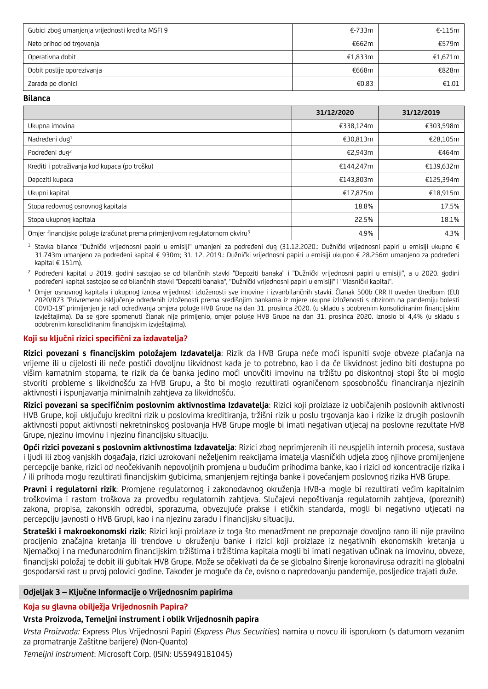| Gubici zbog umanjenja vrijednosti kredita MSFI 9 | €-733m  | $\epsilon$ -115m l |
|--------------------------------------------------|---------|--------------------|
| Neto prihod od trgovanja                         | €662m   | €579m l            |
| Operativna dobit                                 | €1.833m | €1,671m $\vert$    |
| Dobit poslije oporezivanja                       | €668m   | €828m              |
| Zarada po dionici                                | €0.83   | £1.01              |

**Bilanca** 

|                                                                                        | 31/12/2020 | 31/12/2019 |
|----------------------------------------------------------------------------------------|------------|------------|
| Ukupna imovina                                                                         | €338,124m  | €303,598m  |
| Nadređeni dug <sup>1</sup>                                                             | €30,813m   | €28,105m   |
| Podređeni dug <sup>2</sup>                                                             | €2,943m    | €464m      |
| Krediti i potraživanja kod kupaca (po trošku)                                          | €144.247m  | €139,632m  |
| Depoziti kupaca                                                                        | €143,803m  | €125,394m  |
| Ukupni kapital                                                                         | €17,875m   | €18,915m   |
| Stopa redovnog osnovnog kapitala                                                       | 18.8%      | 17.5%      |
| Stopa ukupnog kapitala                                                                 | 22.5%      | 18.1%      |
| Omjer financijske poluge izračunat prema primjenjivom regulatornom okviru <sup>3</sup> | 4.9%       | 4.3%       |

<sup>1</sup> Stavka bilance "Dužnički vrijednosni papiri u emisiji" umanjeni za podređeni dug (31.12.2020.: Dužnički vrijednosni papiri u emisiji ukupno € 31.743m umanjeno za podređeni kapital € 930m; 31. 12. 2019.: Dužnički vrijednosni papiri u emisiji ukupno € 28.256m umanjeno za podređeni kapital € 151m).

<sup>2</sup> Podređeni kapital u 2019. godini sastojao se od bilančnih stavki "Depoziti banaka" i "Dužnički vrijednosni papiri u emisiji", a u 2020. godini podređeni kapital sastojao se od bilančnih stavki "Depoziti banaka", "Dužnički vrijednosni papiri u emisiji" i "Vlasnički kapital".

<sup>3</sup> Omjer osnovnog kapitala i ukupnog iznosa vrijednosti izloženosti sve imovine i izvanbilančnih stavki. Članak 500b CRR II uveden Uredbom (EU) 2020/873 "Privremeno isključenje određenih izloženosti prema središnjim bankama iz mjere ukupne izloženosti s obzirom na pandemiju bolesti COVID-19" primijenjen je radi određivanja omjera poluge HVB Grupe na dan 31. prosinca 2020. (u skladu s odobrenim konsolidiranim financijskim izvještajima). Da se gore spomenuti članak nije primijenio, omjer poluge HVB Grupe na dan 31. prosinca 2020. iznosio bi 4,4% (u skladu s odobrenim konsolidiranim financijskim izvještajima).

# **Koji su ključni rizici specifični za izdavatelja?**

**Rizici povezani s financijskim položajem Izdavatelja**: Rizik da HVB Grupa neće moći ispuniti svoje obveze plaćanja na vrijeme ili u cijelosti ili neće postići dovoljnu likvidnost kada je to potrebno, kao i da će likvidnost jedino biti dostupna po višim kamatnim stopama, te rizik da će banka jedino moći unovčiti imovinu na tržištu po diskontnoj stopi što bi moglo stvoriti probleme s likvidnošću za HVB Grupu, a što bi moglo rezultirati ograničenom sposobnošću financiranja njezinih aktivnosti i ispunjavanja minimalnih zahtjeva za likvidnošću.

**Rizici povezani sa specifičnim poslovnim aktivnostima Izdavatelja**: Rizici koji proizlaze iz uobičajenih poslovnih aktivnosti HVB Grupe, koji uključuju kreditni rizik u poslovima kreditiranja, tržišni rizik u poslu trgovanja kao i rizike iz drugih poslovnih aktivnosti poput aktivnosti nekretninskog poslovanja HVB Grupe mogle bi imati negativan utjecaj na poslovne rezultate HVB Grupe, njezinu imovinu i njezinu financijsku situaciju.

**Opći rizici povezani s poslovnim aktivnostima Izdavatelja**: Rizici zbog neprimjerenih ili neuspjelih internih procesa, sustava i ljudi ili zbog vanjskih događaja, rizici uzrokovani neželjenim reakcijama imatelja vlasničkih udjela zbog njihove promijenjene percepcije banke, rizici od neočekivanih nepovoljnih promjena u budućim prihodima banke, kao i rizici od koncentracije rizika i / ili prihoda mogu rezultirati financijskim gubicima, smanjenjem rejtinga banke i povećanjem poslovnog rizika HVB Grupe.

**Pravni i regulatorni rizik**: Promjene regulatornog i zakonodavnog okruženja HVB-a mogle bi rezultirati većim kapitalnim troškovima i rastom troškova za provedbu regulatornih zahtjeva. Slučajevi nepoštivanja regulatornih zahtjeva, (poreznih) zakona, propisa, zakonskih odredbi, sporazuma, obvezujuće prakse i etičkih standarda, mogli bi negativno utjecati na percepciju javnosti o HVB Grupi, kao i na njezinu zaradu i financijsku situaciju.

**Strateški i makroekonomski rizik**: Rizici koji proizlaze iz toga što menadžment ne prepoznaje dovoljno rano ili nije pravilno procijenio značajna kretanja ili trendove u okruženju banke i rizici koji proizlaze iz negativnih ekonomskih kretanja u Njemačkoj i na međunarodnim financijskim tržištima i tržištima kapitala mogli bi imati negativan učinak na imovinu, obveze, financijski položaj te dobit ili gubitak HVB Grupe. Može se očekivati da će se globalno širenje koronavirusa odraziti na globalni gospodarski rast u prvoj polovici godine. Također je moguće da će, ovisno o napredovanju pandemije, posljedice trajati duže.

### **Odjeljak 3 – Ključne Informacije o Vrijednosnim papirima**

### **Koja su glavna obilježja Vrijednosnih Papira?**

# **Vrsta Proizvoda, Temeljni instrument i oblik Vrijednosnih papira**

*Vrsta Proizvoda:* Express Plus Vrijednosni Papiri (*Express Plus Securities*) namira u novcu ili isporukom (s datumom vezanim za promatranje Zaštitne barijere) (Non-Quanto)

*Temeljni instrument*: Microsoft Corp. (ISIN: US5949181045)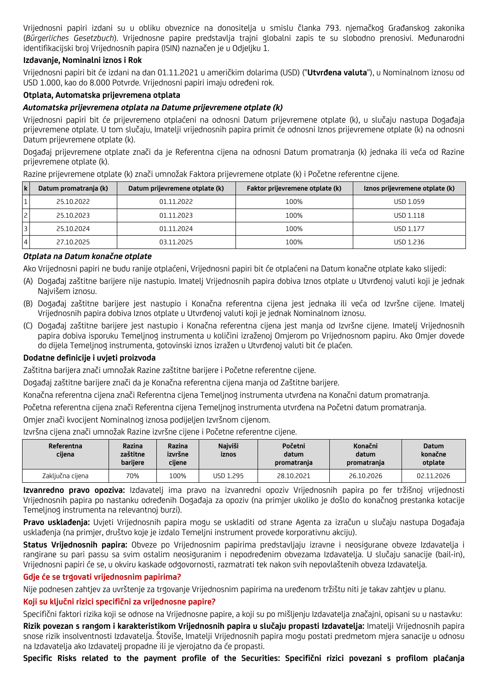Vrijednosni papiri izdani su u obliku obveznice na donositelja u smislu članka 793. njemačkog Građanskog zakonika (*Bürgerliches Gesetzbuch*). Vrijednosne papire predstavlja trajni globalni zapis te su slobodno prenosivi. Međunarodni identifikacijski broj Vrijednosnih papira (ISIN) naznačen je u Odjeljku 1.

# **Izdavanje, Nominalni iznos i Rok**

Vrijednosni papiri bit će izdani na dan 01.11.2021 u američkim dolarima (USD) ("**Utvrđena valuta**"), u Nominalnom iznosu od USD 1.000, kao do 8.000 Potvrde. Vrijednosni papiri imaju određeni rok.

### **Otplata, Automatska prijevremena otplata**

### *Automatska prijevremena otplata na Datume prijevremene otplate (k)*

Vrijednosni papiri bit će prijevremeno otplaćeni na odnosni Datum prijevremene otplate (k), u slučaju nastupa Događaja prijevremene otplate. U tom slučaju, Imatelji vrijednosnih papira primit će odnosni Iznos prijevremene otplate (k) na odnosni Datum prijevremene otplate (k).

Događaj prijevremene otplate znači da je Referentna cijena na odnosni Datum promatranja (k) jednaka ili veća od Razine prijevremene otplate (k).

Razine prijevremene otplate (k) znači umnožak Faktora prijevremene otplate (k) i Početne referentne cijene.

| l k | Datum promatranja (k) | Datum prijevremene otplate (k) | Faktor prijevremene otplate (k) | Iznos prijevremene otplate (k) |
|-----|-----------------------|--------------------------------|---------------------------------|--------------------------------|
|     | 25.10.2022            | 01.11.2022                     | 100%                            | USD 1.059                      |
|     | 25.10.2023            | 01.11.2023                     | 100%                            | USD 1.118                      |
|     | 25.10.2024            | 01.11.2024                     | 100%                            | <b>USD 1.177</b>               |
|     | 27.10.2025            | 03.11.2025                     | 100%                            | USD 1.236                      |

## *Otplata na Datum konačne otplate*

Ako Vrijednosni papiri ne budu ranije otplaćeni, Vrijednosni papiri bit će otplaćeni na Datum konačne otplate kako slijedi:

- (A) Događaj zaštitne barijere nije nastupio. Imatelj Vrijednosnih papira dobiva Iznos otplate u Utvrđenoj valuti koji je jednak Najvišem iznosu.
- (B) Događaj zaštitne barijere jest nastupio i Konačna referentna cijena jest jednaka ili veća od Izvršne cijene. Imatelj Vrijednosnih papira dobiva Iznos otplate u Utvrđenoj valuti koji je jednak Nominalnom iznosu.
- (C) Događaj zaštitne barijere jest nastupio i Konačna referentna cijena jest manja od Izvršne cijene. Imatelj Vrijednosnih papira dobiva isporuku Temeljnog instrumenta u količini izraženoj Omjerom po Vrijednosnom papiru. Ako Omjer dovede do dijela Temeljnog instrumenta, gotovinski iznos izražen u Utvrđenoj valuti bit će plaćen.

### **Dodatne definicije i uvjeti proizvoda**

Zaštitna barijera znači umnožak Razine zaštitne barijere i Početne referentne cijene.

Događaj zaštitne barijere znači da je Konačna referentna cijena manja od Zaštitne barijere.

Konačna referentna cijena znači Referentna cijena Temeljnog instrumenta utvrđena na Konačni datum promatranja.

Početna referentna cijena znači Referentna cijena Temeljnog instrumenta utvrđena na Početni datum promatranja.

Omjer znači kvocijent Nominalnog iznosa podijeljen Izvršnom cijenom.

Izvršna cijena znači umnožak Razine izvršne cijene i Početne referentne cijene.

| Referentna<br>ciiena | Razina<br>zaštitne<br>bariiere | Razina<br>izvršne<br>cijene | <b>Naiviši</b><br>iznos | Početni<br>datum<br>promatranja | Konačni<br>datum<br>promatranja | <b>Datum</b><br>konačne<br>otplate |
|----------------------|--------------------------------|-----------------------------|-------------------------|---------------------------------|---------------------------------|------------------------------------|
| Zaključna cijena     | 70%                            | 100%                        | USD 1.295               | 28.10.2021                      | 26.10.2026                      | 02.11.2026                         |

**Izvanredno pravo opoziva:** Izdavatelj ima pravo na izvanredni opoziv Vrijednosnih papira po fer tržišnoj vrijednosti Vrijednosnih papira po nastanku određenih Događaja za opoziv (na primjer ukoliko je došlo do konačnog prestanka kotacije Temeljnog instrumenta na relevantnoj burzi).

**Pravo usklađenja:** Uvjeti Vrijednosnih papira mogu se uskladiti od strane Agenta za izračun u slučaju nastupa Događaja usklađenja (na primjer, društvo koje je izdalo Temeljni instrument provede korporativnu akciju).

**Status Vrijednosnih papira:** Obveze po Vrijednosnim papirima predstavljaju izravne i neosigurane obveze Izdavatelja i rangirane su pari passu sa svim ostalim neosiguranim i nepodređenim obvezama Izdavatelja. U slučaju sanacije (bail-in), Vrijednosni papiri će se, u okviru kaskade odgovornosti, razmatrati tek nakon svih nepovlaštenih obveza Izdavatelja.

### **Gdje će se trgovati vrijednosnim papirima?**

Nije podnesen zahtjev za uvrštenje za trgovanje Vrijednosnim papirima na uređenom tržištu niti je takav zahtjev u planu.

### **Koji su ključni rizici specifični za vrijednosne papire?**

Specifični faktori rizika koji se odnose na Vrijednosne papire, a koji su po mišljenju Izdavatelja značajni, opisani su u nastavku:

**Rizik povezan s rangom i karakteristikom Vrijednosnih papira u slučaju propasti Izdavatelja:** Imatelji Vrijednosnih papira snose rizik insolventnosti Izdavatelja. Štoviše, Imatelji Vrijednosnih papira mogu postati predmetom mjera sanacije u odnosu na Izdavatelja ako Izdavatelj propadne ili je vjerojatno da će propasti.

**Specific Risks related to the payment profile of the Securities: Specifični rizici povezani s profilom plaćanja**